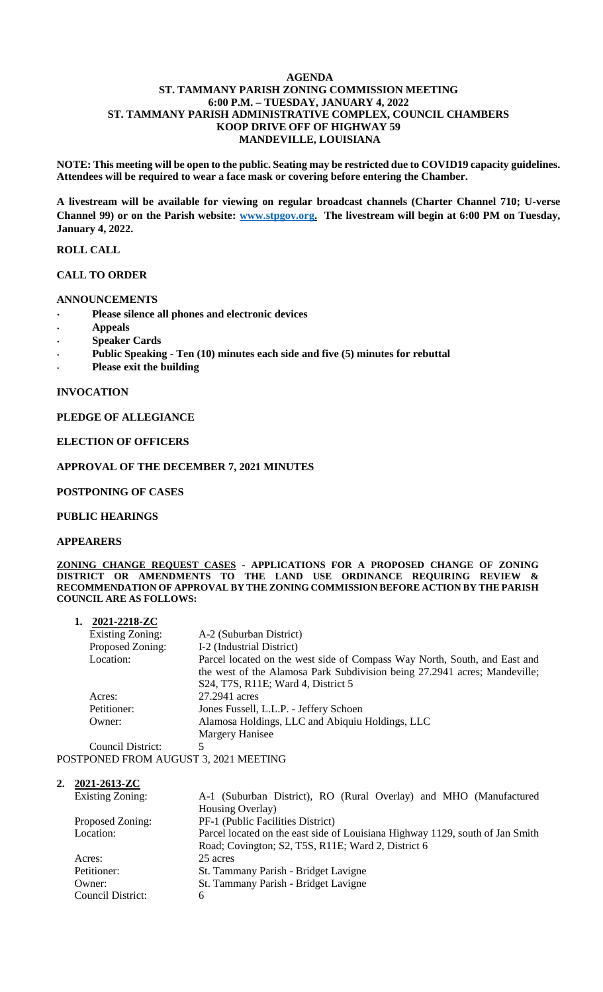# **AGENDA ST. TAMMANY PARISH ZONING COMMISSION MEETING 6:00 P.M. – TUESDAY, JANUARY 4, 2022 ST. TAMMANY PARISH ADMINISTRATIVE COMPLEX, COUNCIL CHAMBERS KOOP DRIVE OFF OF HIGHWAY 59 MANDEVILLE, LOUISIANA**

**NOTE: This meeting will be open to the public. Seating may be restricted due to COVID19 capacity guidelines. Attendees will be required to wear a face mask or covering before entering the Chamber.** 

**A livestream will be available for viewing on regular broadcast channels (Charter Channel 710; U-verse Channel 99) or on the Parish website: [www.stpgov.org.](http://www.stpgov.org/) The livestream will begin at 6:00 PM on Tuesday, January 4, 2022.** 

# **ROLL CALL**

# **CALL TO ORDER**

# **ANNOUNCEMENTS**

- **Please silence all phones and electronic devices**
- **Appeals**
- **Speaker Cards**
- **Public Speaking - Ten (10) minutes each side and five (5) minutes for rebuttal**
- **Please exit the building**

#### **INVOCATION**

# **PLEDGE OF ALLEGIANCE**

# **ELECTION OF OFFICERS**

#### **APPROVAL OF THE DECEMBER 7, 2021 MINUTES**

#### **POSTPONING OF CASES**

# **PUBLIC HEARINGS**

#### **APPEARERS**

**ZONING CHANGE REQUEST CASES - APPLICATIONS FOR A PROPOSED CHANGE OF ZONING DISTRICT OR AMENDMENTS TO THE LAND USE ORDINANCE REQUIRING REVIEW & RECOMMENDATION OF APPROVAL BY THE ZONING COMMISSION BEFORE ACTION BY THE PARISH COUNCIL ARE AS FOLLOWS:**

| 2021-2218-ZC            |                                                                           |
|-------------------------|---------------------------------------------------------------------------|
| <b>Existing Zoning:</b> | A-2 (Suburban District)                                                   |
| Proposed Zoning:        | I-2 (Industrial District)                                                 |
| Location:               | Parcel located on the west side of Compass Way North, South, and East and |
|                         | the west of the Alamosa Park Subdivision being 27.2941 acres; Mandeville; |
|                         | S24, T7S, R11E; Ward 4, District 5                                        |
| Acres:                  | 27.2941 acres                                                             |
| Petitioner:             | Jones Fussell, L.L.P. - Jeffery Schoen                                    |
| Owner:                  | Alamosa Holdings, LLC and Abiquiu Holdings, LLC                           |
|                         | Margery Hanisee                                                           |
| $\alpha$ $\cdots$       |                                                                           |

Council District: POSTPONED FROM AUGUST 3, 2021 MEETING

**2. 2021-2613-ZC**

| <b>Existing Zoning:</b> | A-1 (Suburban District), RO (Rural Overlay) and MHO (Manufactured             |
|-------------------------|-------------------------------------------------------------------------------|
|                         | Housing Overlay)                                                              |
| Proposed Zoning:        | PF-1 (Public Facilities District)                                             |
| Location:               | Parcel located on the east side of Louisiana Highway 1129, south of Jan Smith |
|                         | Road; Covington; S2, T5S, R11E; Ward 2, District 6                            |
| Acres:                  | 25 acres                                                                      |
| Petitioner:             | St. Tammany Parish - Bridget Lavigne                                          |
| Owner:                  | St. Tammany Parish - Bridget Lavigne                                          |
| Council District:       | 6                                                                             |
|                         |                                                                               |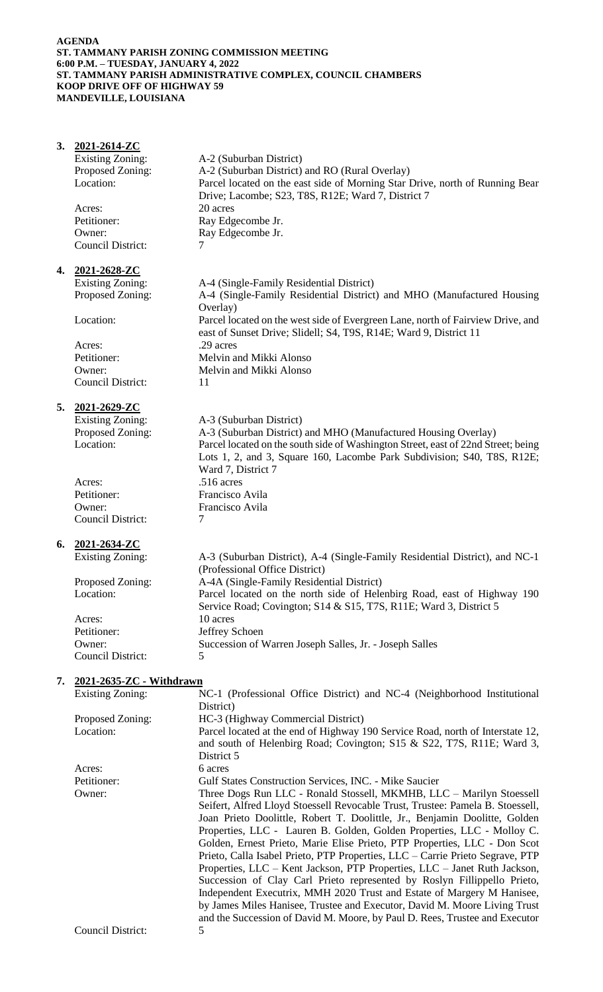# **AGENDA ST. TAMMANY PARISH ZONING COMMISSION MEETING 6:00 P.M. – TUESDAY, JANUARY 4, 2022 ST. TAMMANY PARISH ADMINISTRATIVE COMPLEX, COUNCIL CHAMBERS KOOP DRIVE OFF OF HIGHWAY 59 MANDEVILLE, LOUISIANA**

| 3. | 2021-2614-ZC             |                                                                                                                                                                                                                                                                                                                                                                                                                                                                            |  |  |  |
|----|--------------------------|----------------------------------------------------------------------------------------------------------------------------------------------------------------------------------------------------------------------------------------------------------------------------------------------------------------------------------------------------------------------------------------------------------------------------------------------------------------------------|--|--|--|
|    | <b>Existing Zoning:</b>  | A-2 (Suburban District)                                                                                                                                                                                                                                                                                                                                                                                                                                                    |  |  |  |
|    | Proposed Zoning:         | A-2 (Suburban District) and RO (Rural Overlay)                                                                                                                                                                                                                                                                                                                                                                                                                             |  |  |  |
|    | Location:                | Parcel located on the east side of Morning Star Drive, north of Running Bear<br>Drive; Lacombe; S23, T8S, R12E; Ward 7, District 7                                                                                                                                                                                                                                                                                                                                         |  |  |  |
|    | Acres:                   | 20 acres                                                                                                                                                                                                                                                                                                                                                                                                                                                                   |  |  |  |
|    | Petitioner:              | Ray Edgecombe Jr.                                                                                                                                                                                                                                                                                                                                                                                                                                                          |  |  |  |
|    | Owner:                   | Ray Edgecombe Jr.                                                                                                                                                                                                                                                                                                                                                                                                                                                          |  |  |  |
|    | Council District:        | 7                                                                                                                                                                                                                                                                                                                                                                                                                                                                          |  |  |  |
|    | 4. 2021-2628-ZC          |                                                                                                                                                                                                                                                                                                                                                                                                                                                                            |  |  |  |
|    | <b>Existing Zoning:</b>  | A-4 (Single-Family Residential District)                                                                                                                                                                                                                                                                                                                                                                                                                                   |  |  |  |
|    | Proposed Zoning:         | A-4 (Single-Family Residential District) and MHO (Manufactured Housing<br>Overlay)                                                                                                                                                                                                                                                                                                                                                                                         |  |  |  |
|    | Location:                | Parcel located on the west side of Evergreen Lane, north of Fairview Drive, and<br>east of Sunset Drive; Slidell; S4, T9S, R14E; Ward 9, District 11                                                                                                                                                                                                                                                                                                                       |  |  |  |
|    | Acres:                   | .29 acres                                                                                                                                                                                                                                                                                                                                                                                                                                                                  |  |  |  |
|    | Petitioner:              | Melvin and Mikki Alonso                                                                                                                                                                                                                                                                                                                                                                                                                                                    |  |  |  |
|    | Owner:                   | Melvin and Mikki Alonso                                                                                                                                                                                                                                                                                                                                                                                                                                                    |  |  |  |
|    | <b>Council District:</b> | 11                                                                                                                                                                                                                                                                                                                                                                                                                                                                         |  |  |  |
|    | 5. 2021-2629-ZC          |                                                                                                                                                                                                                                                                                                                                                                                                                                                                            |  |  |  |
|    | <b>Existing Zoning:</b>  | A-3 (Suburban District)                                                                                                                                                                                                                                                                                                                                                                                                                                                    |  |  |  |
|    | Proposed Zoning:         | A-3 (Suburban District) and MHO (Manufactured Housing Overlay)                                                                                                                                                                                                                                                                                                                                                                                                             |  |  |  |
|    | Location:                | Parcel located on the south side of Washington Street, east of 22nd Street; being                                                                                                                                                                                                                                                                                                                                                                                          |  |  |  |
|    |                          | Lots 1, 2, and 3, Square 160, Lacombe Park Subdivision; S40, T8S, R12E;<br>Ward 7, District 7                                                                                                                                                                                                                                                                                                                                                                              |  |  |  |
|    | Acres:                   | .516 acres                                                                                                                                                                                                                                                                                                                                                                                                                                                                 |  |  |  |
|    | Petitioner:              | Francisco Avila                                                                                                                                                                                                                                                                                                                                                                                                                                                            |  |  |  |
|    | Owner:                   | Francisco Avila                                                                                                                                                                                                                                                                                                                                                                                                                                                            |  |  |  |
|    | <b>Council District:</b> | 7                                                                                                                                                                                                                                                                                                                                                                                                                                                                          |  |  |  |
|    | 6. 2021-2634-ZC          |                                                                                                                                                                                                                                                                                                                                                                                                                                                                            |  |  |  |
|    | <b>Existing Zoning:</b>  | A-3 (Suburban District), A-4 (Single-Family Residential District), and NC-1<br>(Professional Office District)                                                                                                                                                                                                                                                                                                                                                              |  |  |  |
|    | Proposed Zoning:         | A-4A (Single-Family Residential District)                                                                                                                                                                                                                                                                                                                                                                                                                                  |  |  |  |
|    | Location:                | Parcel located on the north side of Helenbirg Road, east of Highway 190<br>Service Road; Covington; S14 & S15, T7S, R11E; Ward 3, District 5                                                                                                                                                                                                                                                                                                                               |  |  |  |
|    | Acres:                   | 10 acres                                                                                                                                                                                                                                                                                                                                                                                                                                                                   |  |  |  |
|    | Petitioner:              | Jeffrey Schoen                                                                                                                                                                                                                                                                                                                                                                                                                                                             |  |  |  |
|    | Owner:                   | Succession of Warren Joseph Salles, Jr. - Joseph Salles                                                                                                                                                                                                                                                                                                                                                                                                                    |  |  |  |
|    | Council District:        | 5                                                                                                                                                                                                                                                                                                                                                                                                                                                                          |  |  |  |
| 7. | 2021-2635-ZC - Withdrawn |                                                                                                                                                                                                                                                                                                                                                                                                                                                                            |  |  |  |
|    | <b>Existing Zoning:</b>  | NC-1 (Professional Office District) and NC-4 (Neighborhood Institutional<br>District)                                                                                                                                                                                                                                                                                                                                                                                      |  |  |  |
|    | Proposed Zoning:         | HC-3 (Highway Commercial District)                                                                                                                                                                                                                                                                                                                                                                                                                                         |  |  |  |
|    | Location:                | Parcel located at the end of Highway 190 Service Road, north of Interstate 12,                                                                                                                                                                                                                                                                                                                                                                                             |  |  |  |
|    |                          | and south of Helenbirg Road; Covington; S15 & S22, T7S, R11E; Ward 3,                                                                                                                                                                                                                                                                                                                                                                                                      |  |  |  |
|    |                          | District 5                                                                                                                                                                                                                                                                                                                                                                                                                                                                 |  |  |  |
|    | Acres:                   | 6 acres                                                                                                                                                                                                                                                                                                                                                                                                                                                                    |  |  |  |
|    | Petitioner:              | Gulf States Construction Services, INC. - Mike Saucier                                                                                                                                                                                                                                                                                                                                                                                                                     |  |  |  |
|    | Owner:                   | Three Dogs Run LLC - Ronald Stossell, MKMHB, LLC - Marilyn Stoessell<br>Seifert, Alfred Lloyd Stoessell Revocable Trust, Trustee: Pamela B. Stoessell,<br>Joan Prieto Doolittle, Robert T. Doolittle, Jr., Benjamin Doolitte, Golden<br>Properties, LLC - Lauren B. Golden, Golden Properties, LLC - Molloy C.                                                                                                                                                             |  |  |  |
|    |                          | Golden, Ernest Prieto, Marie Elise Prieto, PTP Properties, LLC - Don Scot<br>Prieto, Calla Isabel Prieto, PTP Properties, LLC - Carrie Prieto Segrave, PTP<br>Properties, LLC - Kent Jackson, PTP Properties, LLC - Janet Ruth Jackson,<br>Succession of Clay Carl Prieto represented by Roslyn Fillippello Prieto,<br>Independent Executrix, MMH 2020 Trust and Estate of Margery M Hanisee,<br>by James Miles Hanisee, Trustee and Executor, David M. Moore Living Trust |  |  |  |
|    |                          | and the Succession of David M. Moore, by Paul D. Rees, Trustee and Executor                                                                                                                                                                                                                                                                                                                                                                                                |  |  |  |
|    | <b>Council District:</b> | 5                                                                                                                                                                                                                                                                                                                                                                                                                                                                          |  |  |  |